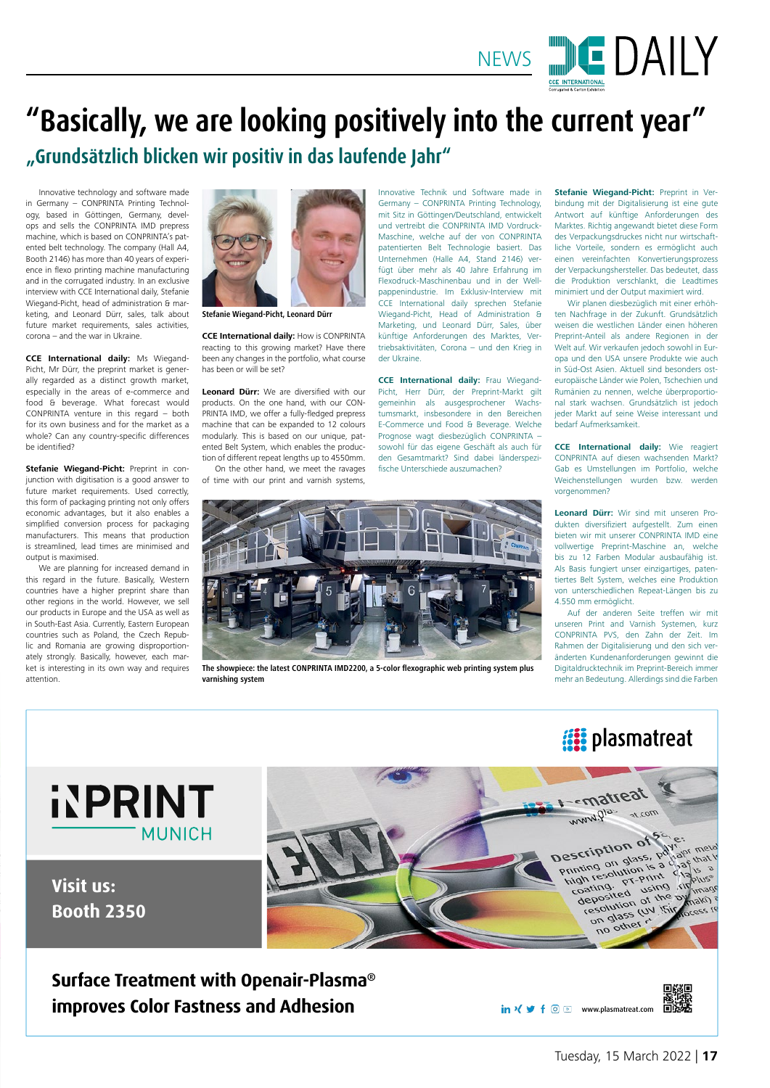

Tuesday, 15 March 2022 | **17**

回路回

#### **Surface Treatment with Openair-Plasma® improves Color Fastness and Adhesion**

in  $\sqrt{9 + 60}$  www.plasmatreat.com 回游

**International** 

#### **Visit us: Booth 2350**



## **"Basically, we are looking positively into the current year" "Grundsätzlich blicken wir positiv in das laufende Jahr"**

Innovative Technik und Software made in Germany – CONPRINTA Printing Technology, mit Sitz in Göttingen/Deutschland, entwickelt und vertreibt die CONPRINTA IMD Vordruck-Maschine, welche auf der von CONPRINTA patentierten Belt Technologie basiert. Das Unternehmen (Halle A4, Stand 2146) verfügt über mehr als 40 Jahre Erfahrung im Flexodruck-Maschinenbau und in der Wellpappenindustrie. Im Exklusiv-Interview mit CCE International daily sprechen Stefanie Wiegand-Picht, Head of Administration & Marketing, und Leonard Dürr, Sales, über künftige Anforderungen des Marktes, Vertriebsaktivitäten, Corona – und den Krieg in der Ukraine.

**CCE International daily:** Frau Wiegand-Picht, Herr Dürr, der Preprint-Markt gilt gemeinhin als ausgesprochener Wachstumsmarkt, insbesondere in den Bereichen E-Commerce und Food & Beverage. Welche Prognose wagt diesbezüglich CONPRINTA – sowohl für das eigene Geschäft als auch für den Gesamtmarkt? Sind dabei länderspezifische Unterschiede auszumachen?



Wir planen diesbezüglich mit einer erhöhten Nachfrage in der Zukunft. Grundsätzlich weisen die westlichen Länder einen höheren Preprint-Anteil als andere Regionen in der Welt auf. Wir verkaufen jedoch sowohl in Europa und den USA unsere Produkte wie auch in Süd-Ost Asien. Aktuell sind besonders osteuropäische Länder wie Polen, Tschechien und Rumänien zu nennen, welche überproportional stark wachsen. Grundsätzlich ist jedoch jeder Markt auf seine Weise interessant und bedarf Aufmerksamkeit.

**CCE International daily:** Wie reagiert CONPRINTA auf diesen wachsenden Markt? Gab es Umstellungen im Portfolio, welche Weichenstellungen wurden bzw. werden vorgenommen?

**Leonard Dürr:** Wir sind mit unseren Produkten diversifiziert aufgestellt. Zum einen bieten wir mit unserer CONPRINTA IMD eine vollwertige Preprint-Maschine an, welche bis zu 12 Farben Modular ausbaufähig ist. Als Basis fungiert unser einzigartiges, patentiertes Belt System, welches eine Produktion von unterschiedlichen Repeat-Längen bis zu 4.550 mm ermöglicht.

Auf der anderen Seite treffen wir mit unseren Print and Varnish Systemen, kurz CONPRINTA PVS, den Zahn der Zeit. Im Rahmen der Digitalisierung und den sich veränderten Kundenanforderungen gewinnt die Digitaldrucktechnik im Preprint-Bereich immer mehr an Bedeutung. Allerdings sind die Farben

Innovative technology and software made in Germany – CONPRINTA Printing Technology, based in Göttingen, Germany, develops and sells the CONPRINTA IMD prepress machine, which is based on CONPRINTA's patented belt technology. The company (Hall A4, Booth 2146) has more than 40 years of experience in flexo printing machine manufacturing and in the corrugated industry. In an exclusive interview with CCE International daily, Stefanie Wiegand-Picht, head of administration & marketing, and Leonard Dürr, sales, talk about future market requirements, sales activities, corona – and the war in Ukraine.

**CCE International daily:** Ms Wiegand-Picht, Mr Dürr, the preprint market is generally regarded as a distinct growth market, especially in the areas of e-commerce and food & beverage. What forecast would CONPRINTA venture in this regard – both for its own business and for the market as a whole? Can any country-specific differences be identified?

**Stefanie Wiegand-Picht:** Preprint in conjunction with digitisation is a good answer to future market requirements. Used correctly, this form of packaging printing not only offers economic advantages, but it also enables a simplified conversion process for packaging manufacturers. This means that production is streamlined, lead times are minimised and output is maximised.

We are planning for increased demand in this regard in the future. Basically, Western countries have a higher preprint share than other regions in the world. However, we sell our products in Europe and the USA as well as in South-East Asia. Currently, Eastern European countries such as Poland, the Czech Republic and Romania are growing disproportionately strongly. Basically, however, each market is interesting in its own way and requires attention.

**CCE International daily:** How is CONPRINTA reacting to this growing market? Have there been any changes in the portfolio, what course has been or will be set?

**Leonard Dürr:** We are diversified with our products. On the one hand, with our CON-PRINTA IMD, we offer a fully-fledged prepress machine that can be expanded to 12 colours modularly. This is based on our unique, patented Belt System, which enables the production of different repeat lengths up to 4550mm.

On the other hand, we meet the ravages of time with our print and varnish systems,



**The showpiece: the latest CONPRINTA IMD2200, a 5-color flexographic web printing system plus varnishing system**

## **is plasmatreat**

# **INPRINT**





**Stefanie Wiegand-Picht, Leonard Dürr**